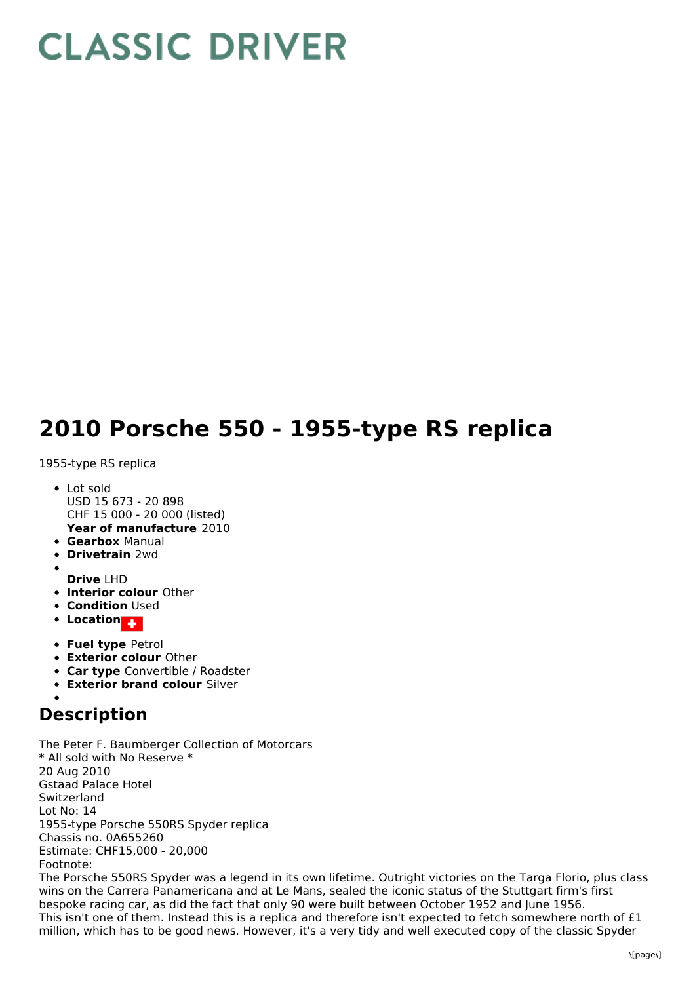## **CLASSIC DRIVER**

## **2010 Porsche 550 - 1955-type RS replica**

1955-type RS replica

- **Year of manufacture** 2010 • Lot sold USD 15 673 - 20 898 CHF 15 000 - 20 000 (listed)
- **Gearbox** Manual
- **Drivetrain** 2wd
- 
- **Drive** LHD
- **Interior colour** Other
- **Condition Used**
- **•** Location
- **Fuel type** Petrol
- **Exterior colour** Other
- **Car type** Convertible / Roadster
- **Exterior brand colour** Silver

## **Description**

The Peter F. Baumberger Collection of Motorcars \* All sold with No Reserve \* 20 Aug 2010 Gstaad Palace Hotel Switzerland Lot No: 14 1955-type Porsche 550RS Spyder replica Chassis no. 0A655260 Estimate: CHF15,000 - 20,000 Footnote:

The Porsche 550RS Spyder was a legend in its own lifetime. Outright victories on the Targa Florio, plus class wins on the Carrera Panamericana and at Le Mans, sealed the iconic status of the Stuttgart firm's first bespoke racing car, as did the fact that only 90 were built between October 1952 and June 1956. This isn't one of them. Instead this is a replica and therefore isn't expected to fetch somewhere north of £1 million, which has to be good news. However, it's a very tidy and well executed copy of the classic Spyder